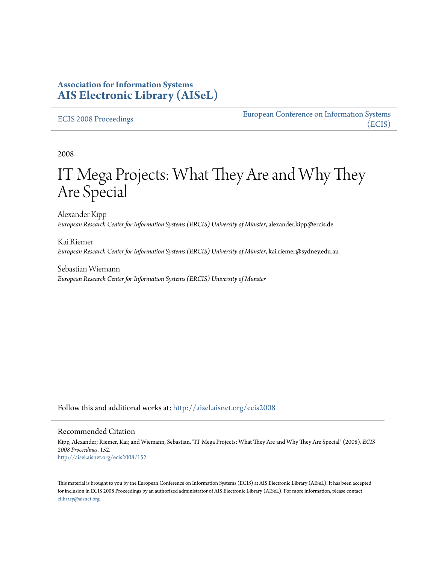## **Association for Information Systems [AIS Electronic Library \(AISeL\)](http://aisel.aisnet.org?utm_source=aisel.aisnet.org%2Fecis2008%2F152&utm_medium=PDF&utm_campaign=PDFCoverPages)**

#### [ECIS 2008 Proceedings](http://aisel.aisnet.org/ecis2008?utm_source=aisel.aisnet.org%2Fecis2008%2F152&utm_medium=PDF&utm_campaign=PDFCoverPages)

[European Conference on Information Systems](http://aisel.aisnet.org/ecis?utm_source=aisel.aisnet.org%2Fecis2008%2F152&utm_medium=PDF&utm_campaign=PDFCoverPages) [\(ECIS\)](http://aisel.aisnet.org/ecis?utm_source=aisel.aisnet.org%2Fecis2008%2F152&utm_medium=PDF&utm_campaign=PDFCoverPages)

2008

# IT Mega Projects: What They Are and Why They Are Special

Alexander Kipp *European Research Center for Information Systems (ERCIS) University of Münster*, alexander.kipp@ercis.de

Kai Riemer *European Research Center for Information Systems (ERCIS) University of Münster*, kai.riemer@sydney.edu.au

Sebastian Wiemann *European Research Center for Information Systems (ERCIS) University of Münster*

Follow this and additional works at: [http://aisel.aisnet.org/ecis2008](http://aisel.aisnet.org/ecis2008?utm_source=aisel.aisnet.org%2Fecis2008%2F152&utm_medium=PDF&utm_campaign=PDFCoverPages)

#### Recommended Citation

Kipp, Alexander; Riemer, Kai; and Wiemann, Sebastian, "IT Mega Projects: What They Are and Why They Are Special" (2008). *ECIS 2008 Proceedings*. 152. [http://aisel.aisnet.org/ecis2008/152](http://aisel.aisnet.org/ecis2008/152?utm_source=aisel.aisnet.org%2Fecis2008%2F152&utm_medium=PDF&utm_campaign=PDFCoverPages)

This material is brought to you by the European Conference on Information Systems (ECIS) at AIS Electronic Library (AISeL). It has been accepted for inclusion in ECIS 2008 Proceedings by an authorized administrator of AIS Electronic Library (AISeL). For more information, please contact [elibrary@aisnet.org.](mailto:elibrary@aisnet.org%3E)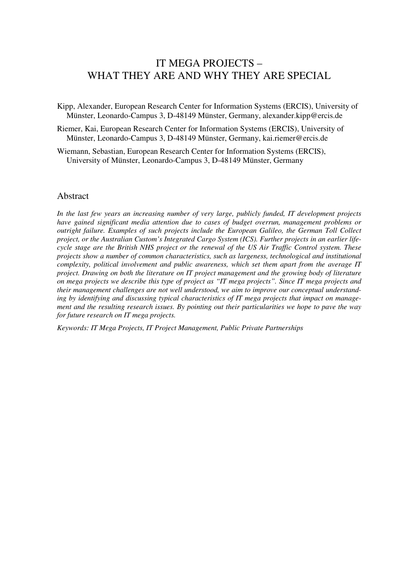# IT MEGA PROJECTS – WHAT THEY ARE AND WHY THEY ARE SPECIAL

Kipp, Alexander, European Research Center for Information Systems (ERCIS), University of Münster, Leonardo-Campus 3, D-48149 Münster, Germany, alexander.kipp@ercis.de

- Riemer, Kai, European Research Center for Information Systems (ERCIS), University of Münster, Leonardo-Campus 3, D-48149 Münster, Germany, kai.riemer@ercis.de
- Wiemann, Sebastian, European Research Center for Information Systems (ERCIS), University of Münster, Leonardo-Campus 3, D-48149 Münster, Germany

#### **Abstract**

*In the last few years an increasing number of very large, publicly funded, IT development projects have gained significant media attention due to cases of budget overrun, management problems or outright failure. Examples of such projects include the European Galileo, the German Toll Collect project, or the Australian Custom's Integrated Cargo System (ICS). Further projects in an earlier lifecycle stage are the British NHS project or the renewal of the US Air Traffic Control system. These projects show a number of common characteristics, such as largeness, technological and institutional complexity, political involvement and public awareness, which set them apart from the average IT project. Drawing on both the literature on IT project management and the growing body of literature on mega projects we describe this type of project as "IT mega projects". Since IT mega projects and their management challenges are not well understood, we aim to improve our conceptual understanding by identifying and discussing typical characteristics of IT mega projects that impact on management and the resulting research issues. By pointing out their particularities we hope to pave the way for future research on IT mega projects.*

*Keywords: IT Mega Projects, IT Project Management, Public Private Partnerships*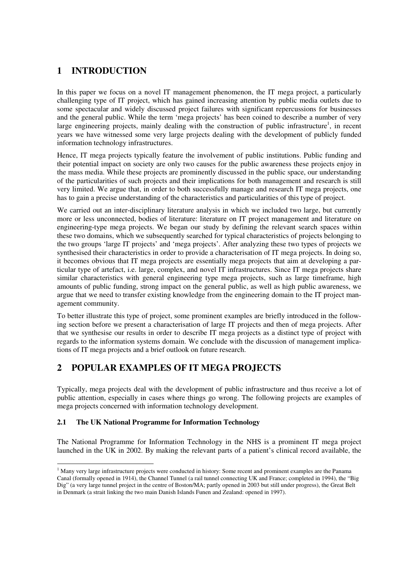## **1 INTRODUCTION**

In this paper we focus on a novel IT management phenomenon, the IT mega project, a particularly challenging type of IT project, which has gained increasing attention by public media outlets due to some spectacular and widely discussed project failures with significant repercussions for businesses and the general public. While the term 'mega projects' has been coined to describe a number of very large engineering projects, mainly dealing with the construction of public infrastructure<sup>1</sup>, in recent years we have witnessed some very large projects dealing with the development of publicly funded information technology infrastructures.

Hence, IT mega projects typically feature the involvement of public institutions. Public funding and their potential impact on society are only two causes for the public awareness these projects enjoy in the mass media. While these projects are prominently discussed in the public space, our understanding of the particularities of such projects and their implications for both management and research is still very limited. We argue that, in order to both successfully manage and research IT mega projects, one has to gain a precise understanding of the characteristics and particularities of this type of project.

We carried out an inter-disciplinary literature analysis in which we included two large, but currently more or less unconnected, bodies of literature: literature on IT project management and literature on engineering-type mega projects. We began our study by defining the relevant search spaces within these two domains, which we subsequently searched for typical characteristics of projects belonging to the two groups 'large IT projects' and 'mega projects'. After analyzing these two types of projects we synthesised their characteristics in order to provide a characterisation of IT mega projects. In doing so, it becomes obvious that IT mega projects are essentially mega projects that aim at developing a particular type of artefact, i.e. large, complex, and novel IT infrastructures. Since IT mega projects share similar characteristics with general engineering type mega projects, such as large timeframe, high amounts of public funding, strong impact on the general public, as well as high public awareness, we argue that we need to transfer existing knowledge from the engineering domain to the IT project management community.

To better illustrate this type of project, some prominent examples are briefly introduced in the following section before we present a characterisation of large IT projects and then of mega projects. After that we synthesise our results in order to describe IT mega projects as a distinct type of project with regards to the information systems domain. We conclude with the discussion of management implications of IT mega projects and a brief outlook on future research.

## **2 POPULAR EXAMPLES OF IT MEGA PROJECTS**

Typically, mega projects deal with the development of public infrastructure and thus receive a lot of public attention, especially in cases where things go wrong. The following projects are examples of mega projects concerned with information technology development.

#### **2.1 The UK National Programme for Information Technology**

The National Programme for Information Technology in the NHS is a prominent IT mega project launched in the UK in 2002. By making the relevant parts of a patient's clinical record available, the

<sup>&</sup>lt;sup>1</sup> Many very large infrastructure projects were conducted in history: Some recent and prominent examples are the Panama Canal (formally opened in 1914), the Channel Tunnel (a rail tunnel connecting UK and France; completed in 1994), the "Big Dig" (a very large tunnel project in the centre of Boston/MA; partly opened in 2003 but still under progress), the Great Belt in Denmark (a strait linking the two main Danish Islands Funen and Zealand: opened in 1997).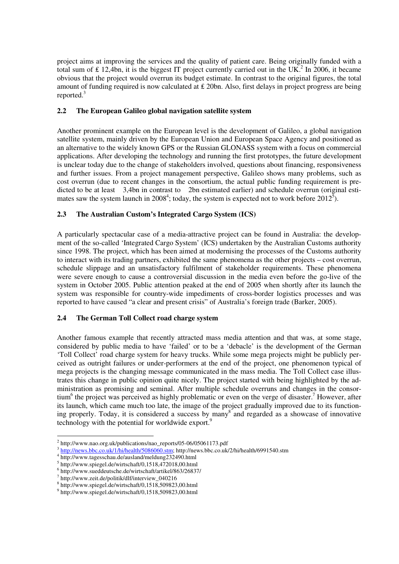project aims at improving the services and the quality of patient care. Being originally funded with a total sum of  $\pounds$  12,4bn, it is the biggest IT project currently carried out in the UK.<sup>2</sup> In 2006, it became obvious that the project would overrun its budget estimate. In contrast to the original figures, the total amount of funding required is now calculated at  $\pounds$  20bn. Also, first delays in project progress are being reported.3

#### **2.2 The European Galileo global navigation satellite system**

Another prominent example on the European level is the development of Galileo, a global navigation satellite system, mainly driven by the European Union and European Space Agency and positioned as an alternative to the widely known GPS or the Russian GLONASS system with a focus on commercial applications. After developing the technology and running the first prototypes, the future development is unclear today due to the change of stakeholders involved, questions about financing, responsiveness and further issues. From a project management perspective, Galileo shows many problems, such as cost overrun (due to recent changes in the consortium, the actual public funding requirement is predicted to be at least  $3.4$ bn in contrast to  $2$ bn estimated earlier) and schedule overrun (original estimates saw the system launch in 2008<sup>4</sup>; today, the system is expected not to work before 2012<sup>5</sup>).

## **2.3 The Australian Custom's Integrated Cargo System (ICS)**

A particularly spectacular case of a media-attractive project can be found in Australia: the development of the so-called 'Integrated Cargo System' (ICS) undertaken by the Australian Customs authority since 1998. The project, which has been aimed at modernising the processes of the Customs authority to interact with its trading partners, exhibited the same phenomena as the other projects – cost overrun, schedule slippage and an unsatisfactory fulfilment of stakeholder requirements. These phenomena were severe enough to cause a controversial discussion in the media even before the go-live of the system in October 2005. Public attention peaked at the end of 2005 when shortly after its launch the system was responsible for country-wide impediments of cross-border logistics processes and was reported to have caused "a clear and present crisis" of Australia's foreign trade (Barker, 2005).

#### **2.4 The German Toll Collect road charge system**

Another famous example that recently attracted mass media attention and that was, at some stage, considered by public media to have 'failed' or to be a 'debacle' is the development of the German 'Toll Collect' road charge system for heavy trucks. While some mega projects might be publicly perceived as outright failures or under-performers at the end of the project, one phenomenon typical of mega projects is the changing message communicated in the mass media. The Toll Collect case illustrates this change in public opinion quite nicely. The project started with being highlighted by the administration as promising and seminal. After multiple schedule overruns and changes in the consortium<sup>6</sup> the project was perceived as highly problematic or even on the verge of disaster.<sup>7</sup> However, after its launch, which came much too late, the image of the project gradually improved due to its functioning properly. Today, it is considered a success by many<sup>8</sup> and regarded as a showcase of innovative technology with the potential for worldwide export.<sup>9</sup>

<sup>&</sup>lt;sup>2</sup> http://www.nao.org.uk/publications/nao\_reports/05-06/05061173.pdf<br>  $\frac{3 \text{ http://news.bbc.co.uk/1/hi/health/5086060.stm}}{\text{ http://www.tagesschau.de/ausland/meldung232490.html}}$ 

 $^5$  http://www.spiegel.de/wirtschaft/0,1518,472018,00.html  $^6$  http://www.sueddeutsche.de/wirtschaft/artikel/863/26837/

<sup>7</sup> http://www.zeit.de/politik/dlf/interview\_040216

<sup>8</sup> http://www.spiegel.de/wirtschaft/0,1518,509823,00.html

<sup>9</sup> http://www.spiegel.de/wirtschaft/0,1518,509823,00.html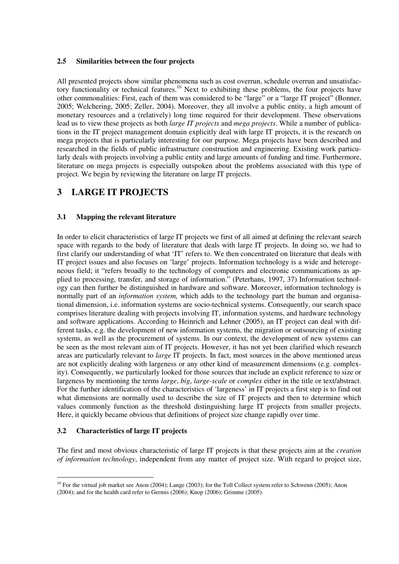#### **2.5 Similarities between the four projects**

All presented projects show similar phenomena such as cost overrun, schedule overrun and unsatisfactory functionality or technical features.<sup>10</sup> Next to exhibiting these problems, the four projects have other commonalities: First, each of them was considered to be "large" or a "large IT project" (Bonner, 2005; Welchering, 2005; Zeller, 2004). Moreover, they all involve a public entity, a high amount of monetary resources and a (relatively) long time required for their development. These observations lead us to view these projects as both *large IT projects* and *mega projects*. While a number of publications in the IT project management domain explicitly deal with large IT projects, it is the research on mega projects that is particularly interesting for our purpose. Mega projects have been described and researched in the fields of public infrastructure construction and engineering. Existing work particularly deals with projects involving a public entity and large amounts of funding and time. Furthermore, literature on mega projects is especially outspoken about the problems associated with this type of project. We begin by reviewing the literature on large IT projects.

## **3 LARGE IT PROJECTS**

#### **3.1 Mapping the relevant literature**

In order to elicit characteristics of large IT projects we first of all aimed at defining the relevant search space with regards to the body of literature that deals with large IT projects. In doing so, we had to first clarify our understanding of what 'IT' refers to. We then concentrated on literature that deals with IT project issues and also focuses on 'large' projects. Information technology is a wide and heterogeneous field; it "refers broadly to the technology of computers and electronic communications as applied to processing, transfer, and storage of information." (Peterhans, 1997, 37) Information technology can then further be distinguished in hardware and software. Moreover, information technology is normally part of an *information system,* which adds to the technology part the human and organisational dimension, i.e. information systems are socio-technical systems. Consequently, our search space comprises literature dealing with projects involving IT, information systems, and hardware technology and software applications. According to Heinrich and Lehner (2005), an IT project can deal with different tasks, e.g. the development of new information systems, the migration or outsourcing of existing systems, as well as the procurement of systems. In our context, the development of new systems can be seen as the most relevant aim of IT projects. However, it has not yet been clarified which research areas are particularly relevant to *large* IT projects. In fact, most sources in the above mentioned areas are not explicitly dealing with largeness or any other kind of measurement dimensions (e.g. complexity). Consequently, we particularly looked for those sources that include an explicit reference to size or largeness by mentioning the terms *large*, *big*, *large-scale* or *complex* either in the title or text/abstract. For the further identification of the characteristics of 'largeness' in IT projects a first step is to find out what dimensions are normally used to describe the size of IT projects and then to determine which values commonly function as the threshold distinguishing large IT projects from smaller projects. Here, it quickly became obvious that definitions of project size change rapidly over time.

#### **3.2 Characteristics of large IT projects**

The first and most obvious characteristic of large IT projects is that these projects aim at the *creation of information technology*, independent from any matter of project size. With regard to project size,

<sup>&</sup>lt;sup>10</sup> For the virtual job market see Anon (2004); Lange (2003); for the Toll Collect system refer to Schwenn (2005); Anon (2004); and for the health card refer to Germis (2006); Knop (2006); Grimme (2005).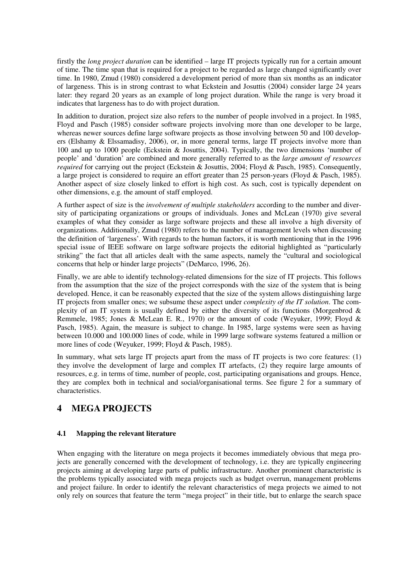firstly the *long project duration* can be identified – large IT projects typically run for a certain amount of time. The time span that is required for a project to be regarded as large changed significantly over time. In 1980, Zmud (1980) considered a development period of more than six months as an indicator of largeness. This is in strong contrast to what Eckstein and Josuttis (2004) consider large 24 years later: they regard 20 years as an example of long project duration. While the range is very broad it indicates that largeness has to do with project duration.

In addition to duration, project size also refers to the number of people involved in a project. In 1985, Floyd and Pasch (1985) consider software projects involving more than one developer to be large, whereas newer sources define large software projects as those involving between 50 and 100 developers (Elshamy & Elssamadisy, 2006), or, in more general terms, large IT projects involve more than 100 and up to 1000 people (Eckstein & Josuttis, 2004). Typically, the two dimensions 'number of people' and 'duration' are combined and more generally referred to as the *large amount of resources required* for carrying out the project (Eckstein & Josuttis, 2004; Floyd & Pasch, 1985). Consequently, a large project is considered to require an effort greater than 25 person-years (Floyd & Pasch, 1985). Another aspect of size closely linked to effort is high cost. As such, cost is typically dependent on other dimensions, e.g. the amount of staff employed.

A further aspect of size is the *involvement of multiple stakeholders* according to the number and diversity of participating organizations or groups of individuals. Jones and McLean (1970) give several examples of what they consider as large software projects and these all involve a high diversity of organizations. Additionally, Zmud (1980) refers to the number of management levels when discussing the definition of 'largeness'. With regards to the human factors, it is worth mentioning that in the 1996 special issue of IEEE software on large software projects the editorial highlighted as "particularly striking" the fact that all articles dealt with the same aspects, namely the "cultural and sociological concerns that help or hinder large projects" (DeMarco, 1996, 26).

Finally, we are able to identify technology-related dimensions for the size of IT projects. This follows from the assumption that the size of the project corresponds with the size of the system that is being developed. Hence, it can be reasonably expected that the size of the system allows distinguishing large IT projects from smaller ones; we subsume these aspect under *complexity of the IT solution*. The complexity of an IT system is usually defined by either the diversity of its functions (Morgenbrod & Remmele, 1985; Jones & McLean E. R., 1970) or the amount of code (Weyuker, 1999; Floyd & Pasch, 1985). Again, the measure is subject to change. In 1985, large systems were seen as having between 10.000 and 100.000 lines of code, while in 1999 large software systems featured a million or more lines of code (Weyuker, 1999; Floyd & Pasch, 1985).

In summary, what sets large IT projects apart from the mass of IT projects is two core features: (1) they involve the development of large and complex IT artefacts, (2) they require large amounts of resources, e.g. in terms of time, number of people, cost, participating organisations and groups. Hence, they are complex both in technical and social/organisational terms. See figure 2 for a summary of characteristics.

## **4 MEGA PROJECTS**

#### **4.1 Mapping the relevant literature**

When engaging with the literature on mega projects it becomes immediately obvious that mega projects are generally concerned with the development of technology, i.e. they are typically engineering projects aiming at developing large parts of public infrastructure. Another prominent characteristic is the problems typically associated with mega projects such as budget overrun, management problems and project failure. In order to identify the relevant characteristics of mega projects we aimed to not only rely on sources that feature the term "mega project" in their title, but to enlarge the search space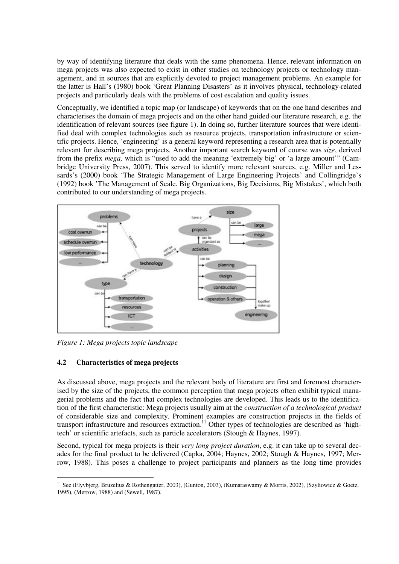by way of identifying literature that deals with the same phenomena. Hence, relevant information on mega projects was also expected to exist in other studies on technology projects or technology management, and in sources that are explicitly devoted to project management problems. An example for the latter is Hall's (1980) book 'Great Planning Disasters' as it involves physical, technology-related projects and particularly deals with the problems of cost escalation and quality issues.

Conceptually, we identified a topic map (or landscape) of keywords that on the one hand describes and characterises the domain of mega projects and on the other hand guided our literature research, e.g. the identification of relevant sources (see figure 1). In doing so, further literature sources that were identified deal with complex technologies such as resource projects, transportation infrastructure or scientific projects. Hence, 'engineering' is a general keyword representing a research area that is potentially relevant for describing mega projects. Another important search keyword of course was *size*, derived from the prefix *mega,* which is "used to add the meaning 'extremely big' or 'a large amount'" (Cambridge University Press, 2007). This served to identify more relevant sources, e.g. Miller and Lessards's (2000) book 'The Strategic Management of Large Engineering Projects' and Collingridge's (1992) book 'The Management of Scale. Big Organizations, Big Decisions, Big Mistakes', which both contributed to our understanding of mega projects.



*Figure 1: Mega projects topic landscape*

#### **4.2 Characteristics of mega projects**

As discussed above, mega projects and the relevant body of literature are first and foremost characterised by the size of the projects, the common perception that mega projects often exhibit typical managerial problems and the fact that complex technologies are developed. This leads us to the identification of the first characteristic: Mega projects usually aim at the *construction of a technological product* of considerable size and complexity. Prominent examples are construction projects in the fields of transport infrastructure and resources extraction.<sup>11</sup> Other types of technologies are described as 'hightech' or scientific artefacts, such as particle accelerators (Stough & Haynes, 1997).

Second, typical for mega projects is their *very long project duration*, e.g. it can take up to several decades for the final product to be delivered (Capka, 2004; Haynes, 2002; Stough & Haynes, 1997; Merrow, 1988). This poses a challenge to project participants and planners as the long time provides

<sup>&</sup>lt;sup>11</sup> See (Flyvbjerg, Bruzelius & Rothengatter, 2003), (Gunton, 2003), (Kumaraswamy & Morris, 2002), (Szyliowicz & Goetz, 1995), (Merrow, 1988) and (Sewell, 1987).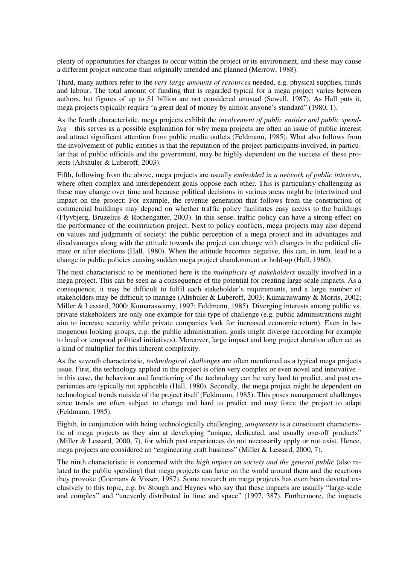plenty of opportunities for changes to occur within the project or its environment, and these may cause a different project outcome than originally intended and planned (Merrow, 1988).

Third, many authors refer to the *very large amounts of resources* needed, e.g. physical supplies, funds and labour. The total amount of funding that is regarded typical for a mega project varies between authors, but figures of up to \$1 billion are not considered unusual (Sewell, 1987). As Hall puts it, mega projects typically require "a great deal of money by almost anyone's standard" (1980, 1).

As the fourth characteristic, mega projects exhibit the *involvement of public entities and public spending* – this serves as a possible explanation for why mega projects are often an issue of public interest and attract significant attention from public media outlets (Feldmann, 1985). What also follows from the involvement of public entities is that the reputation of the project participants involved, in particular that of public officials and the government, may be highly dependent on the success of these projects (Altshuler & Luberoff, 2003).

Fifth, following from the above, mega projects are usually *embedded in a network of public interests*, where often complex and interdependent goals oppose each other. This is particularly challenging as these may change over time and because political decisions in various areas might be intertwined and impact on the project: For example, the revenue generation that follows from the construction of commercial buildings may depend on whether traffic policy facilitates easy access to the buildings (Flyvbjerg, Bruzelius & Rothengatter, 2003). In this sense, traffic policy can have a strong effect on the performance of the construction project. Next to policy conflicts, mega projects may also depend on values and judgments of society: the public perception of a mega project and its advantages and disadvantages along with the attitude towards the project can change with changes in the political climate or after elections (Hall, 1980). When the attitude becomes negative, this can, in turn, lead to a change in public policies causing sudden mega project abandonment or hold-up (Hall, 1980).

The next characteristic to be mentioned here is the *multiplicity of stakeholders* usually involved in a mega project. This can be seen as a consequence of the potential for creating large-scale impacts. As a consequence, it may be difficult to fulfil each stakeholder's requirements, and a large number of stakeholders may be difficult to manage (Altshuler & Luberoff, 2003; Kumaraswamy & Morris, 2002; Miller & Lessard, 2000; Kumaraswamy, 1997; Feldmann, 1985). Diverging interests among public vs. private stakeholders are only one example for this type of challenge (e.g. public administrations might aim to increase security while private companies look for increased economic return). Even in homogenous looking groups, e.g. the public administration, goals might diverge (according for example to local or temporal political initiatives). Moreover, large impact and long project duration often act as a kind of multiplier for this inherent complexity.

As the seventh characteristic, *technological challenges* are often mentioned as a typical mega projects issue. First, the technology applied in the project is often very complex or even novel and innovative – in this case, the behaviour and functioning of the technology can be very hard to predict, and past experiences are typically not applicable (Hall, 1980). Secondly, the mega project might be dependent on technological trends outside of the project itself (Feldmann, 1985). This poses management challenges since trends are often subject to change and hard to predict and may force the project to adapt (Feldmann, 1985).

Eighth, in conjunction with being technologically challenging, *uniqueness* is a constituent characteristic of mega projects as they aim at developing "unique, dedicated, and usually one-off products" (Miller & Lessard, 2000, 7), for which past experiences do not necessarily apply or not exist. Hence, mega projects are considered an "engineering craft business" (Miller & Lessard, 2000, 7).

The ninth characteristic is concerned with the *high impact on society and the general public* (also related to the public spending) that mega projects can have on the world around them and the reactions they provoke (Goemans & Visser, 1987). Some research on mega projects has even been devoted exclusively to this topic, e.g. by Stough and Haynes who say that these impacts are usually "large-scale and complex" and "unevenly distributed in time and space" (1997, 387). Furthermore, the impacts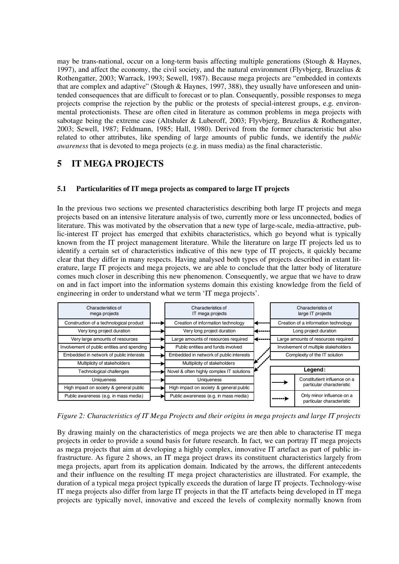may be trans-national, occur on a long-term basis affecting multiple generations (Stough  $\&$  Haynes, 1997), and affect the economy, the civil society, and the natural environment (Flyvbjerg, Bruzelius  $\&$ Rothengatter, 2003; Warrack, 1993; Sewell, 1987). Because mega projects are "embedded in contexts that are complex and adaptive" (Stough & Haynes, 1997, 388), they usually have unforeseen and unintended consequences that are difficult to forecast or to plan. Consequently, possible responses to mega projects comprise the rejection by the public or the protests of special-interest groups, e.g. environmental protectionists. These are often cited in literature as common problems in mega projects with sabotage being the extreme case (Altshuler & Luberoff, 2003; Flyvbjerg, Bruzelius & Rothengatter, 2003; Sewell, 1987; Feldmann, 1985; Hall, 1980). Derived from the former characteristic but also related to other attributes, like spending of large amounts of public funds, we identify the *public awareness* that is devoted to mega projects (e.g. in mass media) as the final characteristic.

## **5 IT MEGA PROJECTS**

#### **5.1 Particularities of IT mega projects as compared to large IT projects**

In the previous two sections we presented characteristics describing both large IT projects and mega projects based on an intensive literature analysis of two, currently more or less unconnected, bodies of literature. This was motivated by the observation that a new type of large-scale, media-attractive, public-interest IT project has emerged that exhibits characteristics, which go beyond what is typically known from the IT project management literature. While the literature on large IT projects led us to identify a certain set of characteristics indicative of this new type of IT projects, it quickly became clear that they differ in many respects. Having analysed both types of projects described in extant literature, large IT projects and mega projects, we are able to conclude that the latter body of literature comes much closer in describing this new phenomenon. Consequently, we argue that we have to draw on and in fact import into the information systems domain this existing knowledge from the field of engineering in order to understand what we term 'IT mega projects'.



*Figure 2: Characteristics of IT Mega Projects and their origins in mega projects and large IT projects*

By drawing mainly on the characteristics of mega projects we are then able to characterise IT mega projects in order to provide a sound basis for future research. In fact, we can portray IT mega projects as mega projects that aim at developing a highly complex, innovative IT artefact as part of public infrastructure. As figure 2 shows, an IT mega project draws its constituent characteristics largely from mega projects, apart from its application domain. Indicated by the arrows, the different antecedents and their influence on the resulting IT mega project characteristics are illustrated. For example, the duration of a typical mega project typically exceeds the duration of large IT projects. Technology-wise IT mega projects also differ from large IT projects in that the IT artefacts being developed in IT mega projects are typically novel, innovative and exceed the levels of complexity normally known from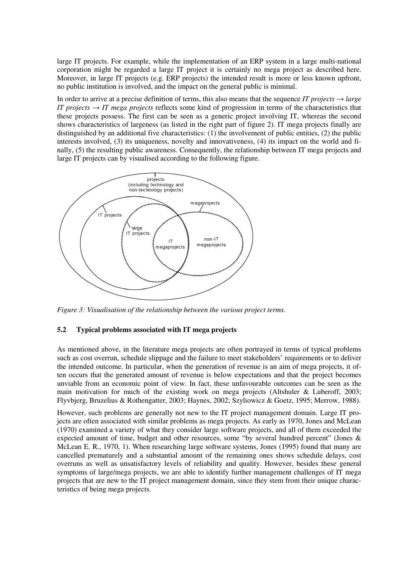large IT projects. For example, while the implementation of an ERP system in a large multi-national corporation might be regarded a large IT project it is certainly no mega project as described here. Moreover, in large IT projects (e.g. ERP projects) the intended result is more or less known upfront, no public institution is involved, and the impact on the general public is minimal.

In order to arrive at a precise definition of terms, this also means that the sequence *IT projects*  $\rightarrow$  *large IT projects*  $\rightarrow$  *IT mega projects* reflects some kind of progression in terms of the characteristics that these projects possess. The first can be seen as a generic project involving IT, whereas the second shows characteristics of largeness (as listed in the right part of figure 2). IT mega projects finally are distinguished by an additional five characteristics: (1) the involvement of public entities, (2) the public interests involved, (3) its uniqueness, novelty and innovativeness, (4) its impact on the world and finally, (5) the resulting public awareness. Consequently, the relationship between IT mega projects and large IT projects can by visualised according to the following figure.



*Figure 3: Visualisation of the relationship between the various project terms.*

#### **5.2 Typical problems associated with IT mega projects**

As mentioned above, in the literature mega projects are often portrayed in terms of typical problems such as cost overrun, schedule slippage and the failure to meet stakeholders' requirements or to deliver the intended outcome. In particular, when the generation of revenue is an aim of mega projects, it often occurs that the generated amount of revenue is below expectations and that the project becomes unviable from an economic point of view. In fact, these unfavourable outcomes can be seen as the main motivation for much of the existing work on mega projects (Altshuler & Luberoff, 2003; Flyvbjerg, Bruzelius & Rothengatter, 2003; Haynes, 2002; Szyliowicz & Goetz, 1995; Merrow, 1988).

However, such problems are generally not new to the IT project management domain. Large IT projects are often associated with similar problems as mega projects. As early as 1970, Jones and McLean (1970) examined a variety of what they consider large software projects, and all of them exceeded the expected amount of time, budget and other resources, some "by several hundred percent" (Jones & McLean E. R., 1970, 1). When researching large software systems, Jones (1995) found that many are cancelled prematurely and a substantial amount of the remaining ones shows schedule delays, cost overruns as well as unsatisfactory levels of reliability and quality. However, besides these general symptoms of large/mega projects, we are able to identify further management challenges of IT mega projects that are new to the IT project management domain, since they stem from their unique characteristics of being mega projects.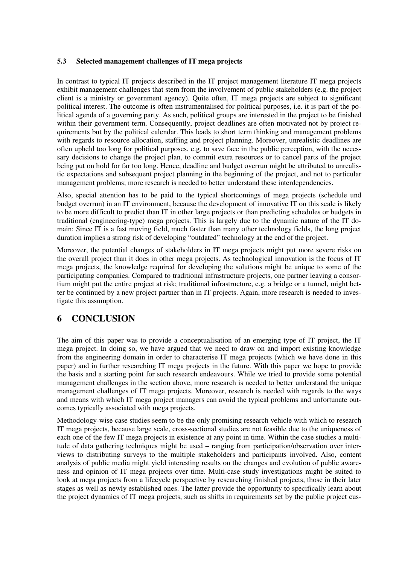#### **5.3 Selected management challenges of IT mega projects**

In contrast to typical IT projects described in the IT project management literature IT mega projects exhibit management challenges that stem from the involvement of public stakeholders (e.g. the project client is a ministry or government agency). Quite often, IT mega projects are subject to significant political interest. The outcome is often instrumentalised for political purposes, i.e. it is part of the political agenda of a governing party. As such, political groups are interested in the project to be finished within their government term. Consequently, project deadlines are often motivated not by project requirements but by the political calendar. This leads to short term thinking and management problems with regards to resource allocation, staffing and project planning. Moreover, unrealistic deadlines are often upheld too long for political purposes, e.g. to save face in the public perception, with the necessary decisions to change the project plan, to commit extra resources or to cancel parts of the project being put on hold for far too long. Hence, deadline and budget overrun might be attributed to unrealistic expectations and subsequent project planning in the beginning of the project, and not to particular management problems; more research is needed to better understand these interdependencies.

Also, special attention has to be paid to the typical shortcomings of mega projects (schedule und budget overrun) in an IT environment, because the development of innovative IT on this scale is likely to be more difficult to predict than IT in other large projects or than predicting schedules or budgets in traditional (engineering-type) mega projects. This is largely due to the dynamic nature of the IT domain: Since IT is a fast moving field, much faster than many other technology fields, the long project duration implies a strong risk of developing "outdated" technology at the end of the project.

Moreover, the potential changes of stakeholders in IT mega projects might put more severe risks on the overall project than it does in other mega projects. As technological innovation is the focus of IT mega projects, the knowledge required for developing the solutions might be unique to some of the participating companies. Compared to traditional infrastructure projects, one partner leaving a consortium might put the entire project at risk; traditional infrastructure, e.g. a bridge or a tunnel, might better be continued by a new project partner than in IT projects. Again, more research is needed to investigate this assumption.

## **6 CONCLUSION**

The aim of this paper was to provide a conceptualisation of an emerging type of IT project, the IT mega project. In doing so, we have argued that we need to draw on and import existing knowledge from the engineering domain in order to characterise IT mega projects (which we have done in this paper) and in further researching IT mega projects in the future. With this paper we hope to provide the basis and a starting point for such research endeavours. While we tried to provide some potential management challenges in the section above, more research is needed to better understand the unique management challenges of IT mega projects. Moreover, research is needed with regards to the ways and means with which IT mega project managers can avoid the typical problems and unfortunate outcomes typically associated with mega projects.

Methodology-wise case studies seem to be the only promising research vehicle with which to research IT mega projects, because large scale, cross-sectional studies are not feasible due to the uniqueness of each one of the few IT mega projects in existence at any point in time. Within the case studies a multitude of data gathering techniques might be used – ranging from participation/observation over interviews to distributing surveys to the multiple stakeholders and participants involved. Also, content analysis of public media might yield interesting results on the changes and evolution of public awareness and opinion of IT mega projects over time. Multi-case study investigations might be suited to look at mega projects from a lifecycle perspective by researching finished projects, those in their later stages as well as newly established ones. The latter provide the opportunity to specifically learn about the project dynamics of IT mega projects, such as shifts in requirements set by the public project cus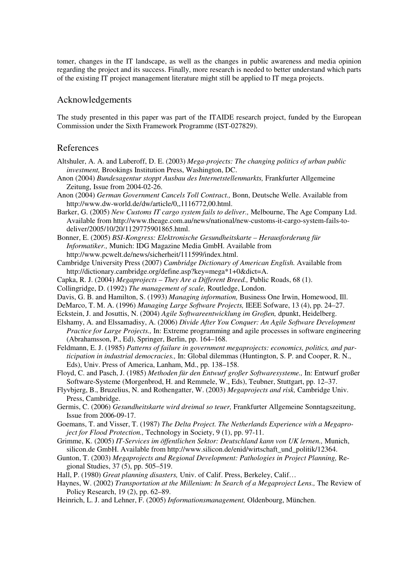tomer, changes in the IT landscape, as well as the changes in public awareness and media opinion regarding the project and its success. Finally, more research is needed to better understand which parts of the existing IT project management literature might still be applied to IT mega projects.

### Acknowledgements

The study presented in this paper was part of the ITAIDE research project, funded by the European Commission under the Sixth Framework Programme (IST-027829).

#### References

- Altshuler, A. A. and Luberoff, D. E. (2003) *Mega-projects: The changing politics of urban public investment,* Brookings Institution Press, Washington, DC.
- Anon (2004) *Bundesagentur stoppt Ausbau des Internetstellenmarkts,* Frankfurter Allgemeine Zeitung, Issue from 2004-02-26.
- Anon (2004) *German Government Cancels Toll Contract.,* Bonn, Deutsche Welle. Available from http://www.dw-world.de/dw/article/0,,1116772,00.html.
- Barker, G. (2005) *New Customs IT cargo system fails to deliver.,* Melbourne, The Age Company Ltd. Available from http://www.theage.com.au/news/national/new-customs-it-cargo-system-fails-todeliver/2005/10/20/1129775901865.html.
- Bonner, E. (2005) *BSI-Kongress: Elektronische Gesundheitskarte Herausforderung für Informatiker.,* Munich: IDG Magazine Media GmbH. Available from http://www.pcwelt.de/news/sicherheit/111599/index.html.
- Cambridge University Press (2007) *Cambridge Dictionary of American English.* Available from http://dictionary.cambridge.org/define.asp?key=mega\*1+0&dict=A.
- Capka, R. J. (2004) *Megaprojects They Are a Different Breed.,* Public Roads, 68 (1).
- Collingridge, D. (1992) *The management of scale,* Routledge, London.
- Davis, G. B. and Hamilton, S. (1993) *Managing information,* Business One Irwin, Homewood, Ill.
- DeMarco, T. M. A. (1996) *Managing Large Software Projects,* IEEE Sofware, 13 (4), pp. 24–27.
- Eckstein, J. and Josuttis, N. (2004) *Agile Softwareentwicklung im Großen,* dpunkt, Heidelberg.
- Elshamy, A. and Elssamadisy, A. (2006) *Divide After You Conquer: An Agile Software Development Practice for Large Projects., In: Extreme programming and agile processes in software engineering* (Abrahamsson, P., Ed), Springer, Berlin, pp. 164–168.
- Feldmann, E. J. (1985) *Patterns of failure in government megaprojects: economics, politics, and participation in industrial democracies.,* In: Global dilemmas (Huntington, S. P. and Cooper, R. N., Eds), Univ. Press of America, Lanham, Md., pp. 138–158.
- Floyd, C. and Pasch, J. (1985) *Methoden für den Entwurf großer Softwaresysteme.,* In: Entwurf großer Software-Systeme (Morgenbrod, H. and Remmele, W., Eds), Teubner, Stuttgart, pp. 12–37.
- Flyvbjerg, B., Bruzelius, N. and Rothengatter, W. (2003) *Megaprojects and risk,* Cambridge Univ. Press, Cambridge.
- Germis, C. (2006) *Gesundheitskarte wird dreimal so teuer,* Frankfurter Allgemeine Sonntagszeitung, Issue from 2006-09-17.
- Goemans, T. and Visser, T. (1987) *The Delta Project. The Netherlands Experience with a Megaproject for Flood Protection.,* Technology in Society, 9 (1), pp. 97-11.
- Grimme, K. (2005) *IT-Services im öffentlichen Sektor: Deutschland kann von UK lernen.,* Munich, silicon.de GmbH. Available from http://www.silicon.de/enid/wirtschaft\_und\_politik/12364.
- Gunton, T. (2003) *Megaprojects and Regional Development: Pathologies in Project Planning,* Regional Studies, 37 (5), pp. 505–519.
- Hall, P. (1980) *Great planning disasters,* Univ. of Calif. Press, Berkeley, Calif…
- Haynes, W. (2002) *Transportation at the Millenium: In Search of a Megaproject Lens.,* The Review of Policy Research, 19 (2), pp. 62–89.
- Heinrich, L. J. and Lehner, F. (2005) *Informationsmanagement,* Oldenbourg, München.